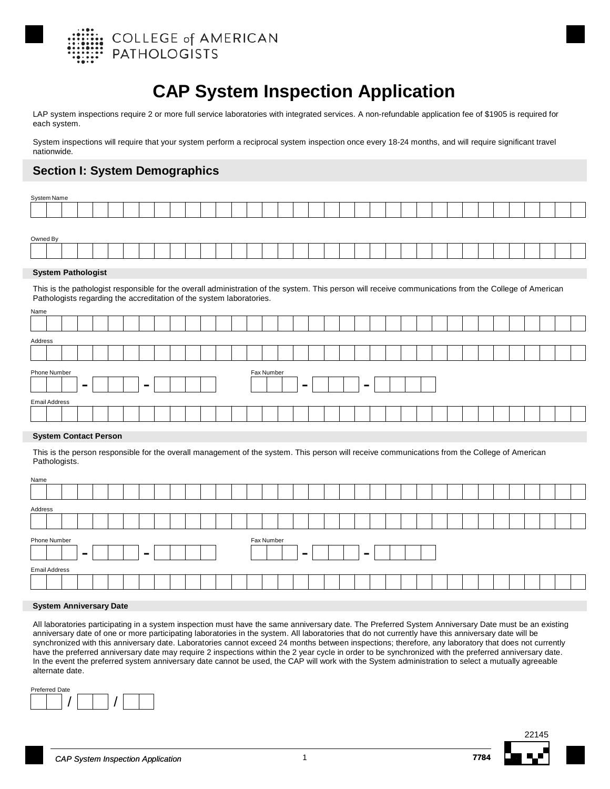

# **CAP System Inspection Application**

LAP system inspections require 2 or more full service laboratories with integrated services. A non-refundable application fee of \$1905 is required for each system.

System inspections will require that your system perform a reciprocal system inspection once every 18-24 months, and will require significant travel nationwide.

## **Section I: System Demographics**

| System Name                                                          |  |  |  |   |  |  |  |            |  |  |  |                                                                                                                                                        |  |  |  |  |  |  |  |
|----------------------------------------------------------------------|--|--|--|---|--|--|--|------------|--|--|--|--------------------------------------------------------------------------------------------------------------------------------------------------------|--|--|--|--|--|--|--|
|                                                                      |  |  |  |   |  |  |  |            |  |  |  |                                                                                                                                                        |  |  |  |  |  |  |  |
|                                                                      |  |  |  |   |  |  |  |            |  |  |  |                                                                                                                                                        |  |  |  |  |  |  |  |
| Owned By                                                             |  |  |  |   |  |  |  |            |  |  |  |                                                                                                                                                        |  |  |  |  |  |  |  |
|                                                                      |  |  |  |   |  |  |  |            |  |  |  |                                                                                                                                                        |  |  |  |  |  |  |  |
| <b>System Pathologist</b>                                            |  |  |  |   |  |  |  |            |  |  |  |                                                                                                                                                        |  |  |  |  |  |  |  |
| Pathologists regarding the accreditation of the system laboratories. |  |  |  |   |  |  |  |            |  |  |  | This is the pathologist responsible for the overall administration of the system. This person will receive communications from the College of American |  |  |  |  |  |  |  |
| Name                                                                 |  |  |  |   |  |  |  |            |  |  |  |                                                                                                                                                        |  |  |  |  |  |  |  |
|                                                                      |  |  |  |   |  |  |  |            |  |  |  |                                                                                                                                                        |  |  |  |  |  |  |  |
| Address                                                              |  |  |  |   |  |  |  |            |  |  |  |                                                                                                                                                        |  |  |  |  |  |  |  |
|                                                                      |  |  |  |   |  |  |  |            |  |  |  |                                                                                                                                                        |  |  |  |  |  |  |  |
| Phone Number                                                         |  |  |  |   |  |  |  | Fax Number |  |  |  |                                                                                                                                                        |  |  |  |  |  |  |  |
|                                                                      |  |  |  | - |  |  |  |            |  |  |  |                                                                                                                                                        |  |  |  |  |  |  |  |

### **System Contact Person**

**Email Addres** 

This is the person responsible for the overall management of the system. This person will receive communications from the College of American Pathologists.

| Name    |                      |                |  |                          |  |  |  |            |        |  |                |  |  |  |  |  |  |  |
|---------|----------------------|----------------|--|--------------------------|--|--|--|------------|--------|--|----------------|--|--|--|--|--|--|--|
|         |                      |                |  |                          |  |  |  |            |        |  |                |  |  |  |  |  |  |  |
| Address |                      |                |  |                          |  |  |  |            |        |  |                |  |  |  |  |  |  |  |
|         |                      |                |  |                          |  |  |  |            |        |  |                |  |  |  |  |  |  |  |
|         | Phone Number         | $\blacksquare$ |  | $\overline{\phantom{a}}$ |  |  |  | Fax Number | $\sim$ |  | $\blacksquare$ |  |  |  |  |  |  |  |
|         | <b>Email Address</b> |                |  |                          |  |  |  |            |        |  |                |  |  |  |  |  |  |  |
|         |                      |                |  |                          |  |  |  |            |        |  |                |  |  |  |  |  |  |  |
|         |                      |                |  |                          |  |  |  |            |        |  |                |  |  |  |  |  |  |  |

### **System Anniversary Date**

All laboratories participating in a system inspection must have the same anniversary date. The Preferred System Anniversary Date must be an existing anniversary date of one or more participating laboratories in the system. All laboratories that do not currently have this anniversary date will be synchronized with this anniversary date. Laboratories cannot exceed 24 months between inspections; therefore, any laboratory that does not currently have the preferred anniversary date may require 2 inspections within the 2 year cycle in order to be synchronized with the preferred anniversary date. In the event the preferred system anniversary date cannot be used, the CAP will work with the System administration to select a mutually agreeable alternate date.





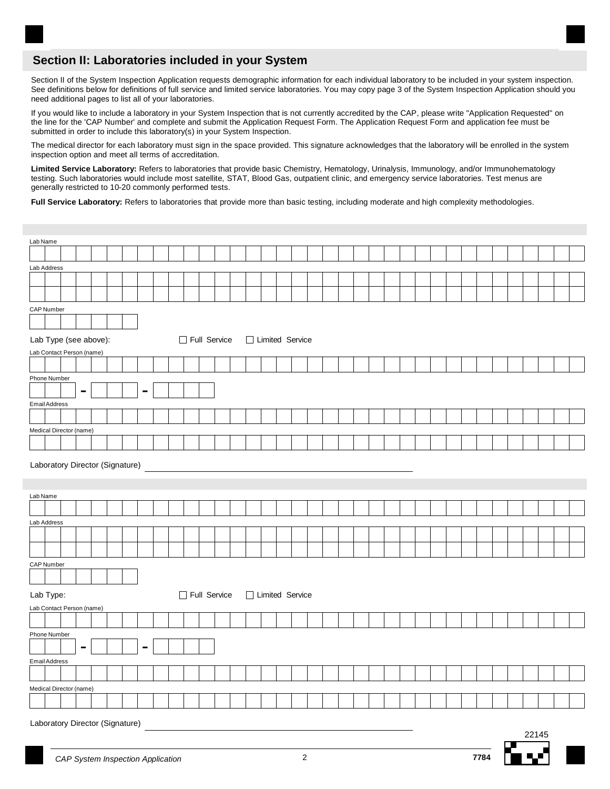## **Section II: Laboratories included in your System**

Section II of the System Inspection Application requests demographic information for each individual laboratory to be included in your system inspection. See definitions below for definitions of full service and limited service laboratories. You may copy page 3 of the System Inspection Application should you need additional pages to list all of your laboratories.

If you would like to include a laboratory in your System Inspection that is not currently accredited by the CAP, please write "Application Requested" on the line for the 'CAP Number' and complete and submit the Application Request Form. The Application Request Form and application fee must be submitted in order to include this laboratory(s) in your System Inspection.

The medical director for each laboratory must sign in the space provided. This signature acknowledges that the laboratory will be enrolled in the system inspection option and meet all terms of accreditation.

**Limited Service Laboratory:** Refers to laboratories that provide basic Chemistry, Hematology, Urinalysis, Immunology, and/or Immunohematology testing. Such laboratories would include most satellite, STAT, Blood Gas, outpatient clinic, and emergency service laboratories. Test menus are generally restricted to 10-20 commonly performed tests.

Full Service Laboratory: Refers to laboratories that provide more than basic testing, including moderate and high complexity methodologies.

| Lab Name                        |              |                   |  |  |       |
|---------------------------------|--------------|-------------------|--|--|-------|
|                                 |              |                   |  |  |       |
| Lab Address                     |              |                   |  |  |       |
|                                 |              |                   |  |  |       |
|                                 |              |                   |  |  |       |
| CAP Number                      |              |                   |  |  |       |
|                                 |              |                   |  |  |       |
| Lab Type (see above):           | Full Service | □ Limited Service |  |  |       |
| Lab Contact Person (name)       |              |                   |  |  |       |
|                                 |              |                   |  |  |       |
| Phone Number                    |              |                   |  |  |       |
| $\blacksquare$                  |              |                   |  |  |       |
| Email Address                   |              |                   |  |  |       |
|                                 |              |                   |  |  |       |
| Medical Director (name)         |              |                   |  |  |       |
|                                 |              |                   |  |  |       |
| Laboratory Director (Signature) |              |                   |  |  |       |
|                                 |              |                   |  |  |       |
|                                 |              |                   |  |  |       |
| Lab Name                        |              |                   |  |  |       |
|                                 |              |                   |  |  |       |
| Lab Address                     |              |                   |  |  |       |
|                                 |              |                   |  |  |       |
|                                 |              |                   |  |  |       |
|                                 |              |                   |  |  |       |
| CAP Number                      |              |                   |  |  |       |
|                                 |              |                   |  |  |       |
| Lab Type:                       | Full Service | □ Limited Service |  |  |       |
| Lab Contact Person (name)       |              |                   |  |  |       |
|                                 |              |                   |  |  |       |
| Phone Number                    |              |                   |  |  |       |
| $\blacksquare$                  |              |                   |  |  |       |
| Email Address                   |              |                   |  |  |       |
|                                 |              |                   |  |  |       |
| Medical Director (name)         |              |                   |  |  |       |
|                                 |              |                   |  |  |       |
|                                 |              |                   |  |  |       |
| Laboratory Director (Signature) |              |                   |  |  | 22145 |

▌▝▅▘▏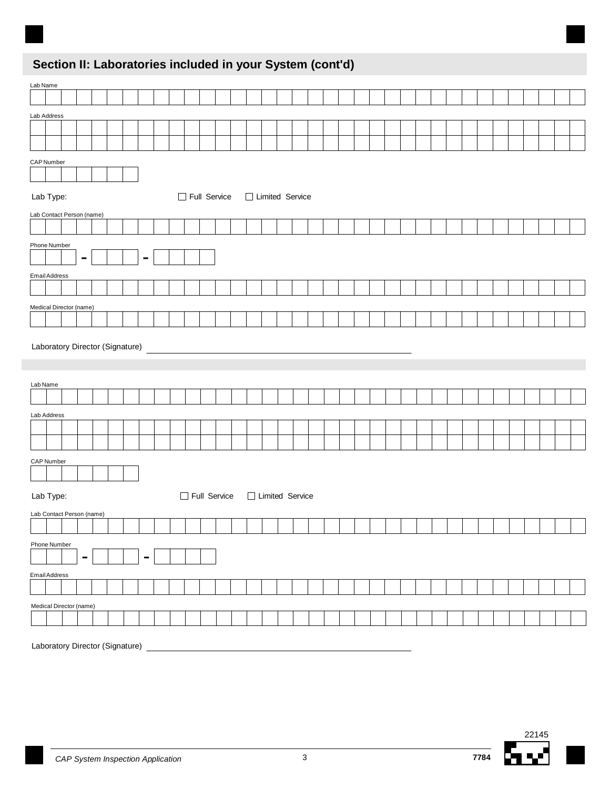# **Section II: Laboratories included in your System (cont'd)**

| Lab Name                                         |                     |                   |  |  |  |  |  |  |
|--------------------------------------------------|---------------------|-------------------|--|--|--|--|--|--|
|                                                  |                     |                   |  |  |  |  |  |  |
| Lab Address                                      |                     |                   |  |  |  |  |  |  |
|                                                  |                     |                   |  |  |  |  |  |  |
|                                                  |                     |                   |  |  |  |  |  |  |
| CAP Number                                       |                     |                   |  |  |  |  |  |  |
| Lab Type:                                        | Full Service        | □ Limited Service |  |  |  |  |  |  |
| Lab Contact Person (name)                        |                     |                   |  |  |  |  |  |  |
|                                                  |                     |                   |  |  |  |  |  |  |
| Phone Number<br>$\blacksquare$<br>$\blacksquare$ |                     |                   |  |  |  |  |  |  |
| Email Address                                    |                     |                   |  |  |  |  |  |  |
|                                                  |                     |                   |  |  |  |  |  |  |
| Medical Director (name)                          |                     |                   |  |  |  |  |  |  |
|                                                  |                     |                   |  |  |  |  |  |  |
| Lab Name                                         |                     |                   |  |  |  |  |  |  |
| Lab Address                                      |                     |                   |  |  |  |  |  |  |
|                                                  |                     |                   |  |  |  |  |  |  |
|                                                  |                     |                   |  |  |  |  |  |  |
| CAP Number                                       |                     |                   |  |  |  |  |  |  |
| Lab Type:                                        | $\Box$ Full Service | □ Limited Service |  |  |  |  |  |  |
| Lab Contact Person (name)                        |                     |                   |  |  |  |  |  |  |
| Phone Number                                     |                     |                   |  |  |  |  |  |  |
| $\blacksquare$<br>-                              |                     |                   |  |  |  |  |  |  |
| Email Address                                    |                     |                   |  |  |  |  |  |  |
|                                                  |                     |                   |  |  |  |  |  |  |
| Medical Director (name)                          |                     |                   |  |  |  |  |  |  |
|                                                  |                     |                   |  |  |  |  |  |  |
|                                                  |                     |                   |  |  |  |  |  |  |

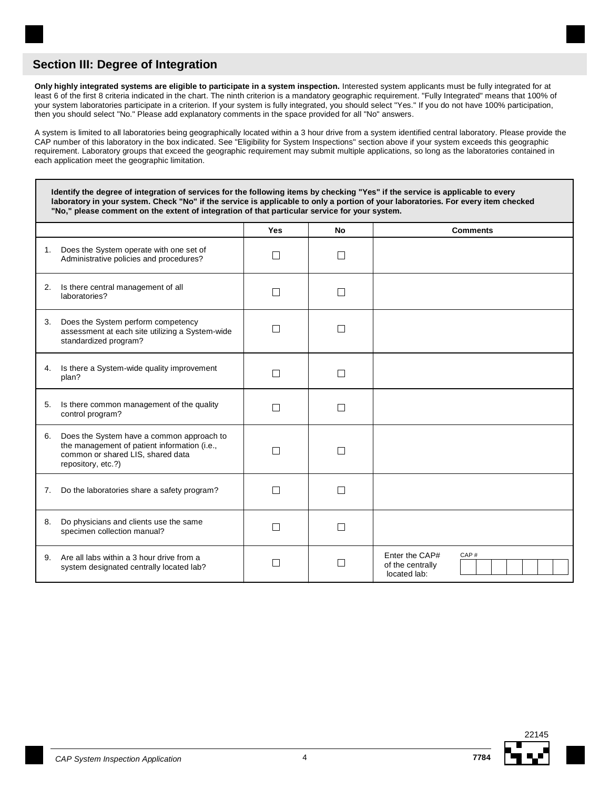**Only highly integrated systems are eligible to participate in a system inspection.** Interested system applicants must be fully integrated for at least 6 of the first 8 criteria indicated in the chart. The ninth criterion is a mandatory geographic requirement. "Fully Integrated" means that 100% of your system laboratories participate in a criterion. If your system is fully integrated, you should select "Yes." If you do not have 100% participation, then you should select "No." Please add explanatory comments in the space provided for all "No" answers.

A system is limited to all laboratories being geographically located within a 3 hour drive from a system identified central laboratory. Please provide the CAP number of this laboratory in the box indicated. See "Eligibility for System Inspections" section above if your system exceeds this geographic requirement. Laboratory groups that exceed the geographic requirement may submit multiple applications, so long as the laboratories contained in each application meet the geographic limitation.

**Identify the degree of integration of services for the following items by checking "Yes" if the service is applicable to every laboratory in your system. Check "No" if the service is applicable to only a portion of your laboratories. For every item checked "No," please comment on the extent of integration of that particular service for your system.**

|    |                                                                                                                                                      | Yes            | <b>No</b>                | <b>Comments</b>                                            |
|----|------------------------------------------------------------------------------------------------------------------------------------------------------|----------------|--------------------------|------------------------------------------------------------|
| 1. | Does the System operate with one set of<br>Administrative policies and procedures?                                                                   | H              | $\blacksquare$           |                                                            |
| 2. | Is there central management of all<br>laboratories?                                                                                                  | $\mathcal{L}$  | $\overline{\phantom{a}}$ |                                                            |
| 3. | Does the System perform competency<br>assessment at each site utilizing a System-wide<br>standardized program?                                       |                |                          |                                                            |
| 4. | Is there a System-wide quality improvement<br>plan?                                                                                                  | $\blacksquare$ | $\mathsf{I}$             |                                                            |
| 5. | Is there common management of the quality<br>control program?                                                                                        | $\mathcal{L}$  | $\blacksquare$           |                                                            |
| 6. | Does the System have a common approach to<br>the management of patient information (i.e.,<br>common or shared LIS, shared data<br>repository, etc.?) | n l            | $\mathsf{I}$             |                                                            |
| 7. | Do the laboratories share a safety program?                                                                                                          | H              | П                        |                                                            |
| 8. | Do physicians and clients use the same<br>specimen collection manual?                                                                                |                |                          |                                                            |
| 9. | Are all labs within a 3 hour drive from a<br>system designated centrally located lab?                                                                |                |                          | Enter the CAP#<br>CAP#<br>of the centrally<br>located lab: |



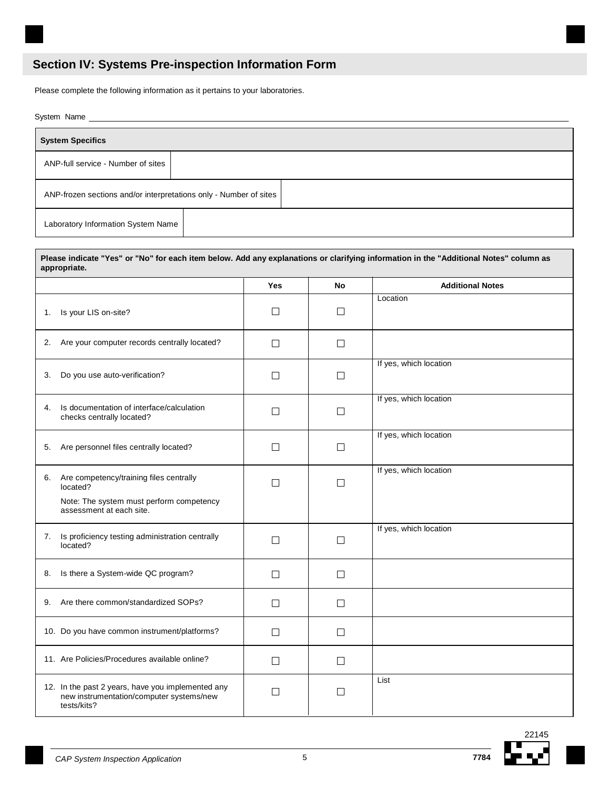## **Section IV: Systems Pre-inspection Information Form**

Please complete the following information as it pertains to your laboratories.

System Name

| <b>System Specifics</b>                                           |  |  |
|-------------------------------------------------------------------|--|--|
| ANP-full service - Number of sites                                |  |  |
| ANP-frozen sections and/or interpretations only - Number of sites |  |  |
| Laboratory Information System Name                                |  |  |

|                                                                                                              | Yes     | No      | <b>Additional Notes</b> |
|--------------------------------------------------------------------------------------------------------------|---------|---------|-------------------------|
| Is your LIS on-site?<br>1.                                                                                   | $\Box$  | $\Box$  | Location                |
| 2. Are your computer records centrally located?                                                              | $\perp$ | П       |                         |
| Do you use auto-verification?<br>3.                                                                          | $\perp$ | $\perp$ | If yes, which location  |
| Is documentation of interface/calculation<br>4.<br>checks centrally located?                                 | $\Box$  | П       | If yes, which location  |
| Are personnel files centrally located?<br>5.                                                                 | $\Box$  | $\Box$  | If yes, which location  |
| Are competency/training files centrally<br>6.<br>located?                                                    | $\Box$  | П       | If yes, which location  |
| Note: The system must perform competency<br>assessment at each site.                                         |         |         |                         |
| Is proficiency testing administration centrally<br>7.<br>located?                                            | П       | $\Box$  | If yes, which location  |
| Is there a System-wide QC program?<br>8.                                                                     | $\Box$  | $\Box$  |                         |
| 9. Are there common/standardized SOPs?                                                                       | $\Box$  | $\Box$  |                         |
| 10. Do you have common instrument/platforms?                                                                 | $\Box$  | $\Box$  |                         |
| 11. Are Policies/Procedures available online?                                                                | $\Box$  | П       |                         |
| 12. In the past 2 years, have you implemented any<br>new instrumentation/computer systems/new<br>tests/kits? | $\Box$  | П       | List                    |



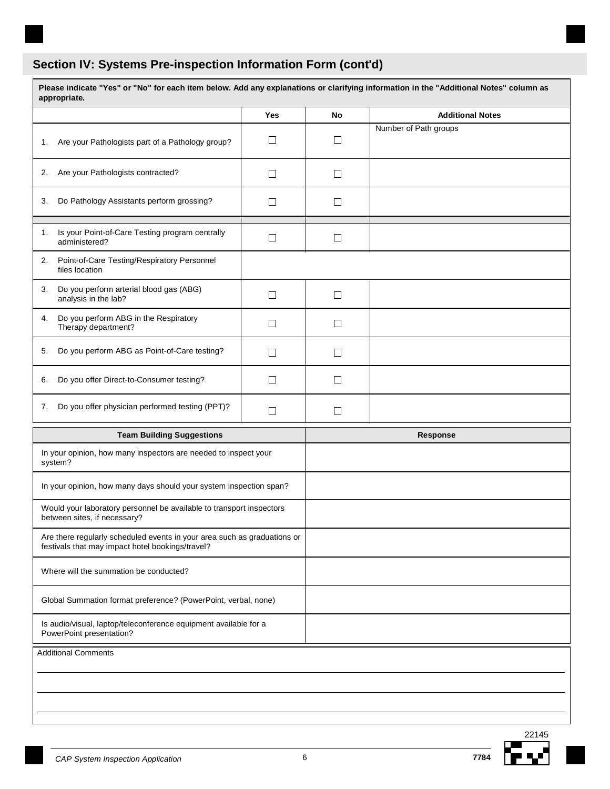# **Section IV: Systems Pre-inspection Information Form (cont'd)**

| Please indicate "Yes" or "No" for each item below. Add any explanations or clarifying information in the "Additional Notes" column as<br>appropriate. |            |           |                         |
|-------------------------------------------------------------------------------------------------------------------------------------------------------|------------|-----------|-------------------------|
|                                                                                                                                                       | <b>Yes</b> | <b>No</b> | <b>Additional Notes</b> |
| Are your Pathologists part of a Pathology group?<br>1.                                                                                                |            | ⊔         | Number of Path groups   |
| Are your Pathologists contracted?<br>2.                                                                                                               | $\Box$     | $\Box$    |                         |
| Do Pathology Assistants perform grossing?<br>3.                                                                                                       | $\Box$     | $\Box$    |                         |
| Is your Point-of-Care Testing program centrally<br>1.<br>administered?                                                                                | $\Box$     | $\Box$    |                         |
| Point-of-Care Testing/Respiratory Personnel<br>2.<br>files location                                                                                   |            |           |                         |
| Do you perform arterial blood gas (ABG)<br>3.<br>analysis in the lab?                                                                                 | П          | $\Box$    |                         |
| Do you perform ABG in the Respiratory<br>4.<br>Therapy department?                                                                                    | $\Box$     | $\Box$    |                         |
| Do you perform ABG as Point-of-Care testing?<br>5.                                                                                                    | П          | $\Box$    |                         |
| Do you offer Direct-to-Consumer testing?<br>6.                                                                                                        | $\Box$     | $\Box$    |                         |
| Do you offer physician performed testing (PPT)?<br>7.                                                                                                 | П          | $\Box$    |                         |
| <b>Team Building Suggestions</b>                                                                                                                      |            |           | Response                |
| In your opinion, how many inspectors are needed to inspect your<br>system?                                                                            |            |           |                         |
| In your opinion, how many days should your system inspection span?                                                                                    |            |           |                         |
| Would your laboratory personnel be available to transport inspectors<br>between sites, if necessary?                                                  |            |           |                         |
| Are there regularly scheduled events in your area such as graduations or<br>festivals that may impact hotel bookings/travel?                          |            |           |                         |
| Where will the summation be conducted?                                                                                                                |            |           |                         |
| Global Summation format preference? (PowerPoint, verbal, none)                                                                                        |            |           |                         |
| Is audio/visual, laptop/teleconference equipment available for a<br>PowerPoint presentation?                                                          |            |           |                         |
| <b>Additional Comments</b>                                                                                                                            |            |           |                         |
|                                                                                                                                                       |            |           |                         |
|                                                                                                                                                       |            |           |                         |
|                                                                                                                                                       |            |           |                         |

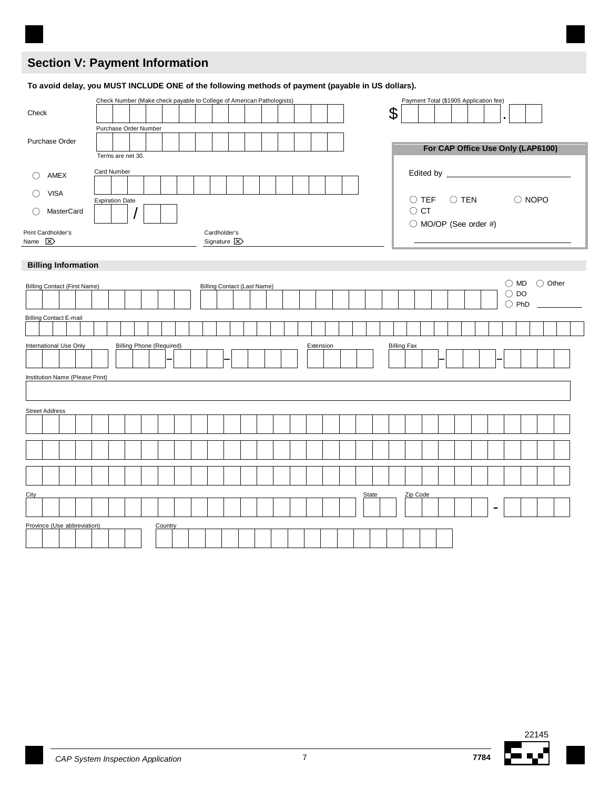## **Section V: Payment Information**

| Check                                                                                                                  | Check Number (Make check payable to College of American Pathologists) |                                            | Payment Total (\$1905 Application fee)<br>\$                                                  |
|------------------------------------------------------------------------------------------------------------------------|-----------------------------------------------------------------------|--------------------------------------------|-----------------------------------------------------------------------------------------------|
| Purchase Order                                                                                                         | Purchase Order Number<br>Terms are net 30.                            |                                            | For CAP Office Use Only (LAP6100)                                                             |
| AMEX<br>$\left(\right)$<br><b>VISA</b><br>O<br>MasterCard<br>O<br>Print Cardholder's<br>Name $\boxed{\mathbf{\Sigma}}$ | <b>Card Number</b><br><b>Expiration Date</b>                          | Cardholder's<br>Signature $\boxed{\times}$ | $\bigcirc$ TEN<br>$\bigcirc$ NOPO<br>$\bigcirc$ TEF<br>$\bigcirc$ CT<br>◯ MO/OP (See order #) |
| <b>Billing Information</b>                                                                                             |                                                                       |                                            | Other<br>$\bigcirc$<br><b>MD</b><br>$\bigcirc$                                                |
| <b>Billing Contact (First Name)</b>                                                                                    |                                                                       | <b>Billing Contact (Last Name)</b>         |                                                                                               |
| <b>Billing Contact E-mail</b>                                                                                          |                                                                       |                                            | $\bigcirc$ DO<br>$\bigcirc$ PhD                                                               |
| International Use Only<br>Institution Name (Please Print)                                                              | <b>Billing Phone (Required)</b>                                       | Extension                                  | <b>Billing Fax</b>                                                                            |
| <b>Street Address</b>                                                                                                  |                                                                       |                                            |                                                                                               |

**To avoid delay, you MUST INCLUDE ONE of the following methods of payment (payable in US dollars).**

City State Zip Code (2009) 2012 12:00 2012 12:00 2012 12:00 2012 12:00 2012 12:00 2012 12:00 2012 12:00 2012 1



Province (Use abbreviation) Country

-